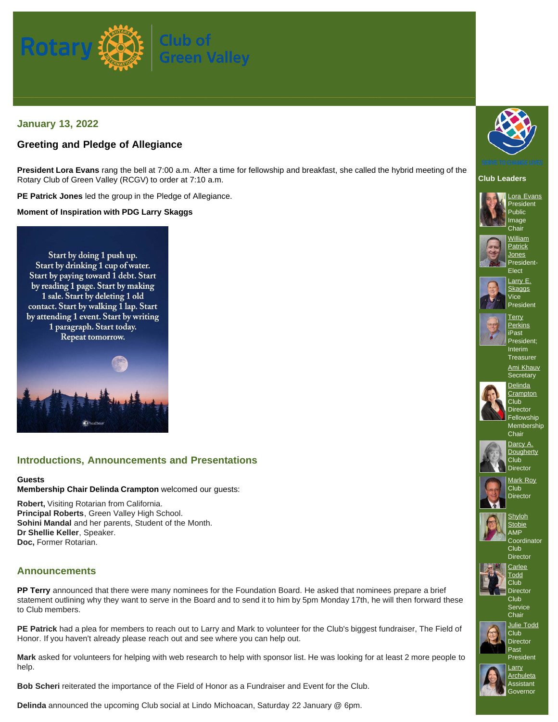

## **January 13, 2022**

## **Greeting and Pledge of Allegiance**

**President Lora Evans** rang the bell at 7:00 a.m. After a time for fellowship and breakfast, she called the hybrid meeting of the Rotary Club of Green Valley (RCGV) to order at 7:10 a.m.

**PE Patrick Jones** led the group in the Pledge of Allegiance.

**Moment of Inspiration with PDG Larry Skaggs**

Start by doing 1 push up. Start by drinking 1 cup of water. Start by paying toward 1 debt. Start by reading 1 page. Start by making 1 sale. Start by deleting 1 old contact. Start by walking 1 lap. Start by attending 1 event. Start by writing 1 paragraph. Start today. Repeat tomorrow.



## **Introductions, Announcements and Presentations**

#### **Guests**

**Membership Chair Delinda Crampton** welcomed our guests:

**Robert,** Visiting Rotarian from California. **Principal Roberts**, Green Valley High School. **Sohini Mandal** and her parents, Student of the Month. **Dr Shellie Keller**, Speaker. **Doc,** Former Rotarian.

## **Announcements**

**PP Terry** announced that there were many nominees for the Foundation Board. He asked that nominees prepare a brief statement outlining why they want to serve in the Board and to send it to him by 5pm Monday 17th, he will then forward these to Club members.

**PE Patrick** had a plea for members to reach out to Larry and Mark to volunteer for the Club's biggest fundraiser, The Field of Honor. If you haven't already please reach out and see where you can help out.

**Mark** asked for volunteers for helping with web research to help with sponsor list. He was looking for at least 2 more people to help.

**Bob Scheri** reiterated the importance of the Field of Honor as a Fundraiser and Event for the Club.

**Delinda** announced the upcoming Club social at Lindo Michoacan, Saturday 22 January @ 6pm.













**[Perkins](https://www.ismyrotaryclub.org/EMailer.cfm?ID=800522208)** iPast President; Interim **Treasurer** 

[Ami Khauv](https://www.ismyrotaryclub.org/EMailer.cfm?ID=800753843) **Secretary** 



**Director** Fellowship Membership **Chair** 



**[Dougherty](https://www.ismyrotaryclub.org/EMailer.cfm?ID=800351911)**  $C$ lub **Director** 



**[Shyloh](https://www.ismyrotaryclub.org/EMailer.cfm?ID=800703760)** 



Club **Director [Carlee](https://www.ismyrotaryclub.org/EMailer.cfm?ID=800810052)** 



Club Service **Chair** 

[Julie Todd](https://www.ismyrotaryclub.org/EMailer.cfm?ID=800600051) Club **Director** 

Past President



[Larry](https://www.ismyrotaryclub.org/EMailer.cfm?ID=800430825) **[Archuleta](https://www.ismyrotaryclub.org/EMailer.cfm?ID=800430825)** Assistant **Governor**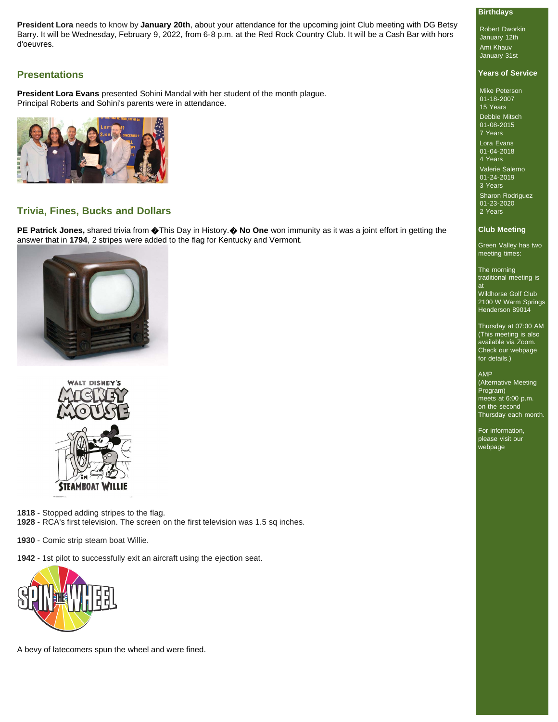**President Lora** needs to know by **January 20th**, about your attendance for the upcoming joint Club meeting with DG Betsy Barry. It will be Wednesday, February 9, 2022, from 6-8 p.m. at the Red Rock Country Club. It will be a Cash Bar with hors d'oeuvres.

### **Presentations**

**President Lora Evans** presented Sohini Mandal with her student of the month plague. Principal Roberts and Sohini's parents were in attendance.



## **Trivia, Fines, Bucks and Dollars**

**PE Patrick Jones,** shared trivia from  $\circledast$ This Day in History.  $\circledast$  No One won immunity as it was a joint effort in getting the answer that in **1794**, 2 stripes were added to the flag for Kentucky and Vermont.





**1818** - Stopped adding stripes to the flag.

**1928** - RCA's first television. The screen on the first television was 1.5 sq inches.

**1930** - Comic strip steam boat Willie.

1**942** - 1st pilot to successfully exit an aircraft using the ejection seat.



A bevy of latecomers spun the wheel and were fined.

### **Birthdays**

Robert Dworkin January 12th Ami Khauv January 31st

### **Years of Service**

Mike Peterson 01-18-2007 15 Years Debbie Mitsch 01-08-2015 7 Years

Lora Evans 01-04-2018 4 Years

Valerie Salerno 01-24-2019 3 Years Sharon Rodriguez 01-23-2020

### **Club Meeting**

2 Years

Green Valley has two meeting times:

The morning traditional meeting is at

Wildhorse Golf Club 2100 W Warm Springs Henderson 89014

Thursday at 07:00 AM (This meeting is also available via Zoom. Check our webpage for details.)

#### AMP

(Alternative Meeting Program) meets at 6:00 p.m. on the second Thursday each month.

For information, please visit our webpage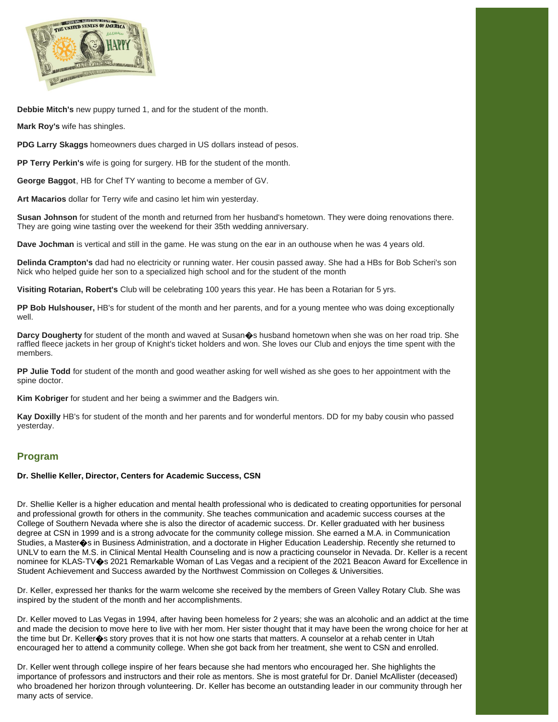

**Debbie Mitch's** new puppy turned 1, and for the student of the month.

**Mark Roy's** wife has shingles.

**PDG Larry Skaggs** homeowners dues charged in US dollars instead of pesos.

**PP Terry Perkin's** wife is going for surgery. HB for the student of the month.

**George Baggot**, HB for Chef TY wanting to become a member of GV.

**Art Macarios** dollar for Terry wife and casino let him win yesterday.

**Susan Johnson** for student of the month and returned from her husband's hometown. They were doing renovations there. They are going wine tasting over the weekend for their 35th wedding anniversary.

**Dave Jochman** is vertical and still in the game. He was stung on the ear in an outhouse when he was 4 years old.

**Delinda Crampton's** dad had no electricity or running water. Her cousin passed away. She had a HBs for Bob Scheri's son Nick who helped guide her son to a specialized high school and for the student of the month

**Visiting Rotarian, Robert's** Club will be celebrating 100 years this year. He has been a Rotarian for 5 yrs.

**PP Bob Hulshouser,** HB's for student of the month and her parents, and for a young mentee who was doing exceptionally well.

**Darcy Dougherty** for student of the month and waved at Susan $\hat{\phi}$ s husband hometown when she was on her road trip. She raffled fleece jackets in her group of Knight's ticket holders and won. She loves our Club and enjoys the time spent with the members.

**PP Julie Todd** for student of the month and good weather asking for well wished as she goes to her appointment with the spine doctor.

**Kim Kobriger** for student and her being a swimmer and the Badgers win.

**Kay Doxilly** HB's for student of the month and her parents and for wonderful mentors. DD for my baby cousin who passed yesterday.

### **Program**

#### **Dr. Shellie Keller, Director, Centers for Academic Success, CSN**

Dr. Shellie Keller is a higher education and mental health professional who is dedicated to creating opportunities for personal and professional growth for others in the community. She teaches communication and academic success courses at the College of Southern Nevada where she is also the director of academic success. Dr. Keller graduated with her business degree at CSN in 1999 and is a strong advocate for the community college mission. She earned a M.A. in Communication Studies, a Master $\bullet$ s in Business Administration, and a doctorate in Higher Education Leadership. Recently she returned to UNLV to earn the M.S. in Clinical Mental Health Counseling and is now a practicing counselor in Nevada. Dr. Keller is a recent nominee for KLAS-TV�s 2021 Remarkable Woman of Las Vegas and a recipient of the 2021 Beacon Award for Excellence in Student Achievement and Success awarded by the Northwest Commission on Colleges & Universities.

Dr. Keller, expressed her thanks for the warm welcome she received by the members of Green Valley Rotary Club. She was inspired by the student of the month and her accomplishments.

Dr. Keller moved to Las Vegas in 1994, after having been homeless for 2 years; she was an alcoholic and an addict at the time and made the decision to move here to live with her mom. Her sister thought that it may have been the wrong choice for her at the time but Dr. Keller $\hat{\boldsymbol{\varphi}}$ s story proves that it is not how one starts that matters. A counselor at a rehab center in Utah encouraged her to attend a community college. When she got back from her treatment, she went to CSN and enrolled.

Dr. Keller went through college inspire of her fears because she had mentors who encouraged her. She highlights the importance of professors and instructors and their role as mentors. She is most grateful for Dr. Daniel McAllister (deceased) who broadened her horizon through volunteering. Dr. Keller has become an outstanding leader in our community through her many acts of service.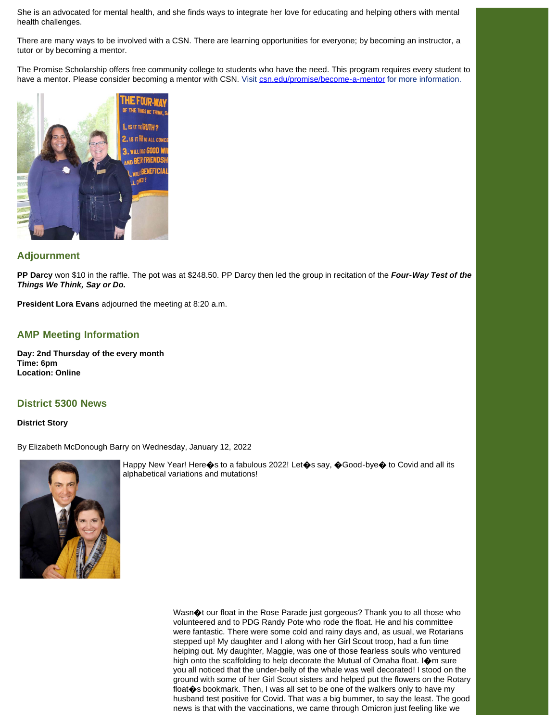She is an advocated for mental health, and she finds ways to integrate her love for educating and helping others with mental health challenges.

There are many ways to be involved with a CSN. There are learning opportunities for everyone; by becoming an instructor, a tutor or by becoming a mentor.

The Promise Scholarship offers free community college to students who have the need. This program requires every student to have a mentor. Please consider becoming a mentor with CSN. Visit [csn.edu/promise/become-a-mentor](https://www.csn.edu/promise/become-a-mentor) for more information.



# **Adjournment**

**PP Darcy** won \$10 in the raffle. The pot was at \$248.50. PP Darcy then led the group in recitation of the *Four-Way Test of the Things We Think, Say or Do.*

**President Lora Evans** adjourned the meeting at 8:20 a.m.

## **AMP Meeting Information**

**Day: 2nd Thursday of the every month Time: 6pm Location: Online**

### **District 5300 News**

#### **District Story**

By Elizabeth McDonough Barry on Wednesday, January 12, 2022



Happy New Year! Here�s to a fabulous 2022! Let�s say, �Good-bye� to Covid and all its alphabetical variations and mutations!

> Wasn $\bigcirc$ t our float in the Rose Parade just gorgeous? Thank you to all those who volunteered and to PDG Randy Pote who rode the float. He and his committee were fantastic. There were some cold and rainy days and, as usual, we Rotarians stepped up! My daughter and I along with her Girl Scout troop, had a fun time helping out. My daughter, Maggie, was one of those fearless souls who ventured high onto the scaffolding to help decorate the Mutual of Omaha float. I $\spadesuit$ m sure you all noticed that the under-belly of the whale was well decorated! I stood on the ground with some of her Girl Scout sisters and helped put the flowers on the Rotary float $\clubsuit$ s bookmark. Then, I was all set to be one of the walkers only to have my husband test positive for Covid. That was a big bummer, to say the least. The good news is that with the vaccinations, we came through Omicron just feeling like we